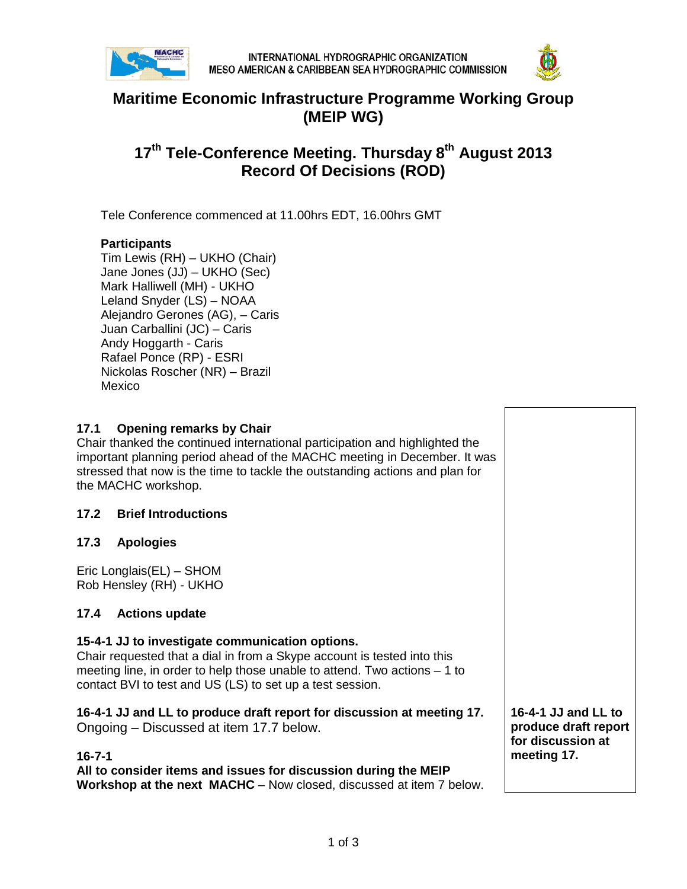



# **Maritime Economic Infrastructure Programme Working Group (MEIP WG)**

# **17th Tele-Conference Meeting. Thursday 8th August 2013 Record Of Decisions (ROD)**

Tele Conference commenced at 11.00hrs EDT, 16.00hrs GMT

#### **Participants**

Tim Lewis (RH) – UKHO (Chair) Jane Jones (JJ) – UKHO (Sec) Mark Halliwell (MH) - UKHO Leland Snyder (LS) – NOAA Alejandro Gerones (AG), – Caris Juan Carballini (JC) – Caris Andy Hoggarth - Caris Rafael Ponce (RP) - ESRI Nickolas Roscher (NR) – Brazil Mexico

## **17.1 Opening remarks by Chair**

Chair thanked the continued international participation and highlighted the important planning period ahead of the MACHC meeting in December. It was stressed that now is the time to tackle the outstanding actions and plan for the MACHC workshop.

#### **17.2 Brief Introductions**

#### **17.3 Apologies**

Eric Longlais(EL) – SHOM Rob Hensley (RH) - UKHO

## **17.4 Actions update**

#### **15-4-1 JJ to investigate communication options.**

Chair requested that a dial in from a Skype account is tested into this meeting line, in order to help those unable to attend. Two actions – 1 to contact BVI to test and US (LS) to set up a test session.

**16-4-1 JJ and LL to produce draft report for discussion at meeting 17.** Ongoing – Discussed at item 17.7 below.

#### **16-7-1**

**All to consider items and issues for discussion during the MEIP Workshop at the next MACHC** – Now closed, discussed at item 7 below.

**16-4-1 JJ and LL to produce draft report for discussion at meeting 17.**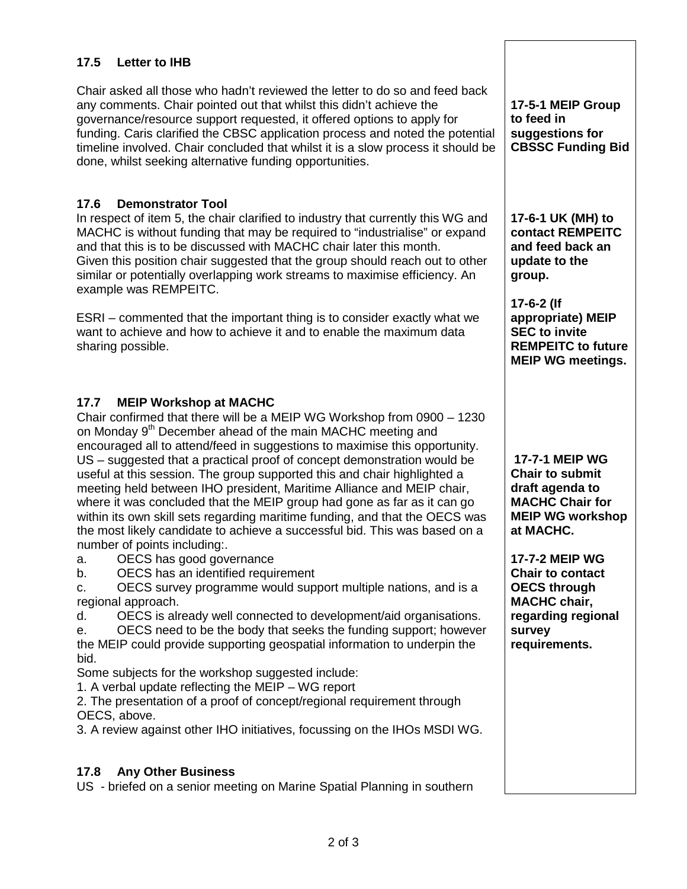## **17.5 Letter to IHB**

Chair asked all those who hadn't reviewed the letter to do so and feed back any comments. Chair pointed out that whilst this didn't achieve the governance/resource support requested, it offered options to apply for funding. Caris clarified the CBSC application process and noted the potential timeline involved. Chair concluded that whilst it is a slow process it should be done, whilst seeking alternative funding opportunities.

### **17.6 Demonstrator Tool**

In respect of item 5, the chair clarified to industry that currently this WG and MACHC is without funding that may be required to "industrialise" or expand and that this is to be discussed with MACHC chair later this month. Given this position chair suggested that the group should reach out to other similar or potentially overlapping work streams to maximise efficiency. An example was REMPEITC.

ESRI – commented that the important thing is to consider exactly what we want to achieve and how to achieve it and to enable the maximum data sharing possible.

## **17.7 MEIP Workshop at MACHC**

Chair confirmed that there will be a MEIP WG Workshop from 0900 – 1230 on Monday 9<sup>th</sup> December ahead of the main MACHC meeting and encouraged all to attend/feed in suggestions to maximise this opportunity. US – suggested that a practical proof of concept demonstration would be useful at this session. The group supported this and chair highlighted a meeting held between IHO president, Maritime Alliance and MEIP chair, where it was concluded that the MEIP group had gone as far as it can go within its own skill sets regarding maritime funding, and that the OECS was the most likely candidate to achieve a successful bid. This was based on a number of points including:.

a. OECS has good governance<br>b. OECS has an identified requi

OECS has an identified requirement

c. OECS survey programme would support multiple nations, and is a regional approach.

d. OECS is already well connected to development/aid organisations.

e. OECS need to be the body that seeks the funding support; however the MEIP could provide supporting geospatial information to underpin the bid.

Some subjects for the workshop suggested include:

1. A verbal update reflecting the MEIP – WG report

2. The presentation of a proof of concept/regional requirement through OECS, above.

3. A review against other IHO initiatives, focussing on the IHOs MSDI WG.

## **17.8 Any Other Business**

US - briefed on a senior meeting on Marine Spatial Planning in southern

**17-5-1 MEIP Group to feed in suggestions for CBSSC Funding Bid**

**17-6-1 UK (MH) to contact REMPEITC and feed back an update to the group.**

**17-6-2 (If appropriate) MEIP SEC to invite REMPEITC to future MEIP WG meetings.**

**17-7-1 MEIP WG Chair to submit draft agenda to MACHC Chair for MEIP WG workshop at MACHC.**

**17-7-2 MEIP WG Chair to contact OECS through MACHC chair, regarding regional survey requirements.**